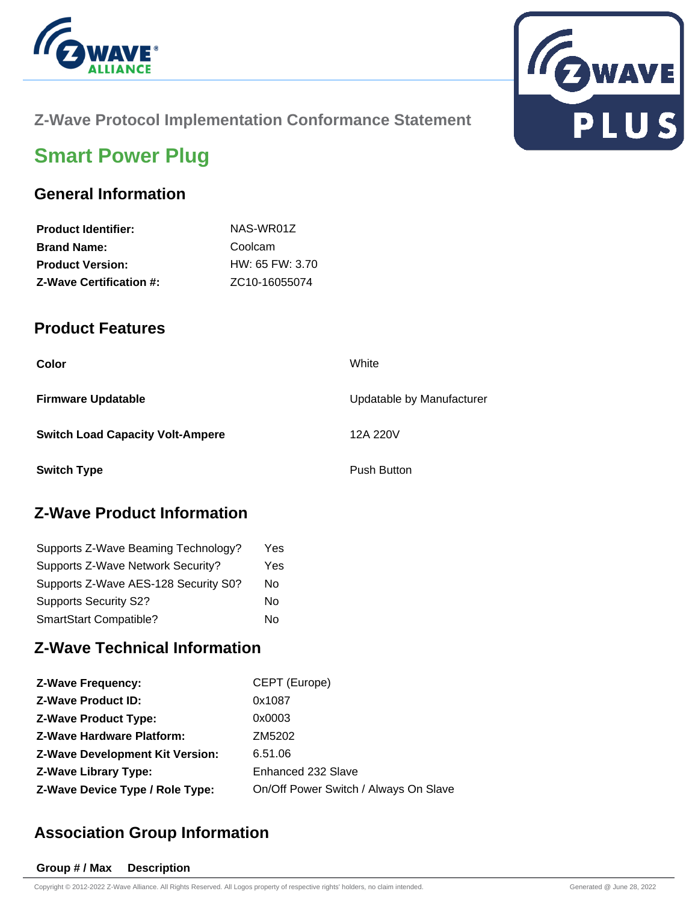



### **Z-Wave Protocol Implementation Conformance Statement**

# **Smart Power Plug**

#### **General Information**

| NAS-WR01Z                  |
|----------------------------|
| Coolcam                    |
| $HW: 65$ FW: 3.70          |
| ZC <sub>10</sub> -16055074 |
|                            |

#### **Product Features**

| Color                                   | White                     |
|-----------------------------------------|---------------------------|
| <b>Firmware Updatable</b>               | Updatable by Manufacturer |
| <b>Switch Load Capacity Volt-Ampere</b> | 12A 220V                  |
| <b>Switch Type</b>                      | <b>Push Button</b>        |

### **Z-Wave Product Information**

| Supports Z-Wave Beaming Technology?  | Yes |
|--------------------------------------|-----|
| Supports Z-Wave Network Security?    | Yes |
| Supports Z-Wave AES-128 Security S0? | No  |
| <b>Supports Security S2?</b>         | Nο  |
| SmartStart Compatible?               | No  |

#### **Z-Wave Technical Information**

| <b>Z-Wave Frequency:</b>               | CEPT (Europe)                         |
|----------------------------------------|---------------------------------------|
| <b>Z-Wave Product ID:</b>              | 0x1087                                |
| <b>Z-Wave Product Type:</b>            | 0x0003                                |
| <b>Z-Wave Hardware Platform:</b>       | ZM5202                                |
| <b>Z-Wave Development Kit Version:</b> | 6.51.06                               |
| <b>Z-Wave Library Type:</b>            | Enhanced 232 Slave                    |
| Z-Wave Device Type / Role Type:        | On/Off Power Switch / Always On Slave |

### **Association Group Information**

#### **Group # / Max Description**